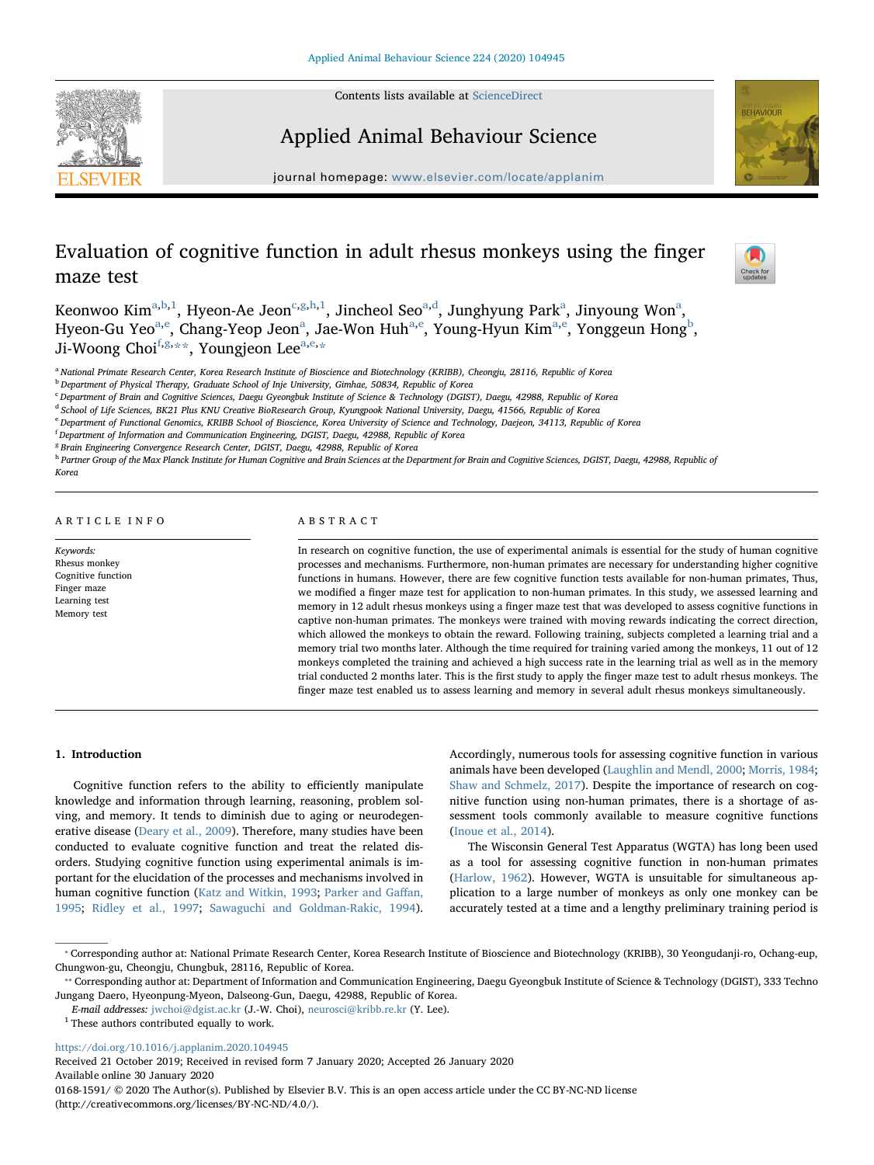Contents lists available at [ScienceDirect](http://www.sciencedirect.com/science/journal/01681591)





## Applied Animal Behaviour Science

journal homepage: [www.elsevier.com/locate/applanim](https://www.elsevier.com/locate/applanim)

# Evaluation of cognitive function in adult rhesus monkeys using the finger maze test



Keonwoo Kim $^{\mathrm{a,b,l}}$  $^{\mathrm{a,b,l}}$  $^{\mathrm{a,b,l}}$  $^{\mathrm{a,b,l}}$  $^{\mathrm{a,b,l}}$ , Hyeon-Ae Jeon $^{\mathrm{c,g,h,l}}$  $^{\mathrm{c,g,h,l}}$  $^{\mathrm{c,g,h,l}}$  $^{\mathrm{c,g,h,l}}$  $^{\mathrm{c,g,h,l}}$ , Jincheol Seo $^{\mathrm{a,d}}$  $^{\mathrm{a,d}}$  $^{\mathrm{a,d}}$ , Junghyung Park $^{\mathrm{a}}$ , Jinyoung Won $^{\mathrm{a}},$ Hyeon-Gu Yeo<sup>[a,](#page-0-0)[e](#page-0-7)</sup>, Ch[a](#page-0-0)ng-Yeop Jeon<sup>a</sup>, Jae-Won Huh<sup>a[,e](#page-0-7)</sup>, Young-Hyun Kim<sup>a,e</sup>, Yonggeun Hong<sup>[b](#page-0-1)</sup>, Ji-Woong Choi<sup>[f,](#page-0-8)[g](#page-0-4),[\\*\\*](#page-0-9)</sup>, Youngjeon Lee<sup>[a](#page-0-0)[,e](#page-0-7),[\\*](#page-0-10)</sup>

<span id="page-0-0"></span><sup>a</sup> National Primate Research Center, Korea Research Institute of Bioscience and Biotechnology (KRIBB), Cheongju, 28116, Republic of Korea

<span id="page-0-1"></span><sup>b</sup> Department of Physical Therapy, Graduate School of Inje University, Gimhae, 50834, Republic of Korea

<span id="page-0-3"></span><sup>c</sup> Department of Brain and Cognitive Sciences, Daegu Gyeongbuk Institute of Science & Technology (DGIST), Daegu, 42988, Republic of Korea

<span id="page-0-6"></span><sup>d</sup> School of Life Sciences, BK21 Plus KNU Creative BioResearch Group, Kyungpook National University, Daegu, 41566, Republic of Korea

<span id="page-0-7"></span><sup>e</sup> Department of Functional Genomics, KRIBB School of Bioscience, Korea University of Science and Technology, Daejeon, 34113, Republic of Korea

<span id="page-0-8"></span><sup>f</sup> Department of Information and Communication Engineering, DGIST, Daegu, 42988, Republic of Korea

<span id="page-0-4"></span><sup>8</sup> Brain Engineering Convergence Research Center, DGIST, Daegu, 42988, Republic of Korea

<span id="page-0-5"></span>h Partner Group of the Max Planck Institute for Human Cognitive and Brain Sciences at the Department for Brain and Cognitive Sciences, DGIST, Daegu, 42988, Republic of Korec

## ARTICLE INFO

Keywords: Rhesus monkey Cognitive function Finger maze Learning test Memory test

## ABSTRACT

In research on cognitive function, the use of experimental animals is essential for the study of human cognitive processes and mechanisms. Furthermore, non-human primates are necessary for understanding higher cognitive functions in humans. However, there are few cognitive function tests available for non-human primates, Thus, we modified a finger maze test for application to non-human primates. In this study, we assessed learning and memory in 12 adult rhesus monkeys using a finger maze test that was developed to assess cognitive functions in captive non-human primates. The monkeys were trained with moving rewards indicating the correct direction, which allowed the monkeys to obtain the reward. Following training, subjects completed a learning trial and a memory trial two months later. Although the time required for training varied among the monkeys, 11 out of 12 monkeys completed the training and achieved a high success rate in the learning trial as well as in the memory trial conducted 2 months later. This is the first study to apply the finger maze test to adult rhesus monkeys. The finger maze test enabled us to assess learning and memory in several adult rhesus monkeys simultaneously.

### 1. Introduction

Cognitive function refers to the ability to efficiently manipulate knowledge and information through learning, reasoning, problem solving, and memory. It tends to diminish due to aging or neurodegenerative disease ([Deary et al., 2009\)](#page-4-0). Therefore, many studies have been conducted to evaluate cognitive function and treat the related disorders. Studying cognitive function using experimental animals is important for the elucidation of the processes and mechanisms involved in human cognitive function [\(Katz and Witkin, 1993](#page-4-1); [Parker and Ga](#page-4-2)ffan, [1995;](#page-4-2) [Ridley et al., 1997;](#page-4-3) [Sawaguchi and Goldman-Rakic, 1994](#page-4-4)).

Accordingly, numerous tools for assessing cognitive function in various animals have been developed [\(Laughlin and Mendl, 2000](#page-4-5); [Morris, 1984](#page-4-6); [Shaw and Schmelz, 2017](#page-4-7)). Despite the importance of research on cognitive function using non-human primates, there is a shortage of assessment tools commonly available to measure cognitive functions ([Inoue et al., 2014\)](#page-4-8).

The Wisconsin General Test Apparatus (WGTA) has long been used as a tool for assessing cognitive function in non-human primates ([Harlow, 1962\)](#page-4-9). However, WGTA is unsuitable for simultaneous application to a large number of monkeys as only one monkey can be accurately tested at a time and a lengthy preliminary training period is

<https://doi.org/10.1016/j.applanim.2020.104945>

Received 21 October 2019; Received in revised form 7 January 2020; Accepted 26 January 2020 Available online 30 January 2020 0168-1591/ © 2020 The Author(s). Published by Elsevier B.V. This is an open access article under the CC BY-NC-ND license (http://creativecommons.org/licenses/BY-NC-ND/4.0/).

<span id="page-0-10"></span><sup>⁎</sup> Corresponding author at: National Primate Research Center, Korea Research Institute of Bioscience and Biotechnology (KRIBB), 30 Yeongudanji-ro, Ochang-eup, Chungwon-gu, Cheongju, Chungbuk, 28116, Republic of Korea.

<span id="page-0-9"></span><sup>\*\*</sup> Corresponding author at: Department of Information and Communication Engineering, Daegu Gyeongbuk Institute of Science & Technology (DGIST), 333 Techno Jungang Daero, Hyeonpung-Myeon, Dalseong-Gun, Daegu, 42988, Republic of Korea.

E-mail addresses: [jwchoi@dgist.ac.kr](mailto:jwchoi@dgist.ac.kr) (J.-W. Choi), [neurosci@kribb.re.kr](mailto:neurosci@kribb.re.kr) (Y. Lee).

<span id="page-0-2"></span> $^{\rm 1}$  These authors contributed equally to work.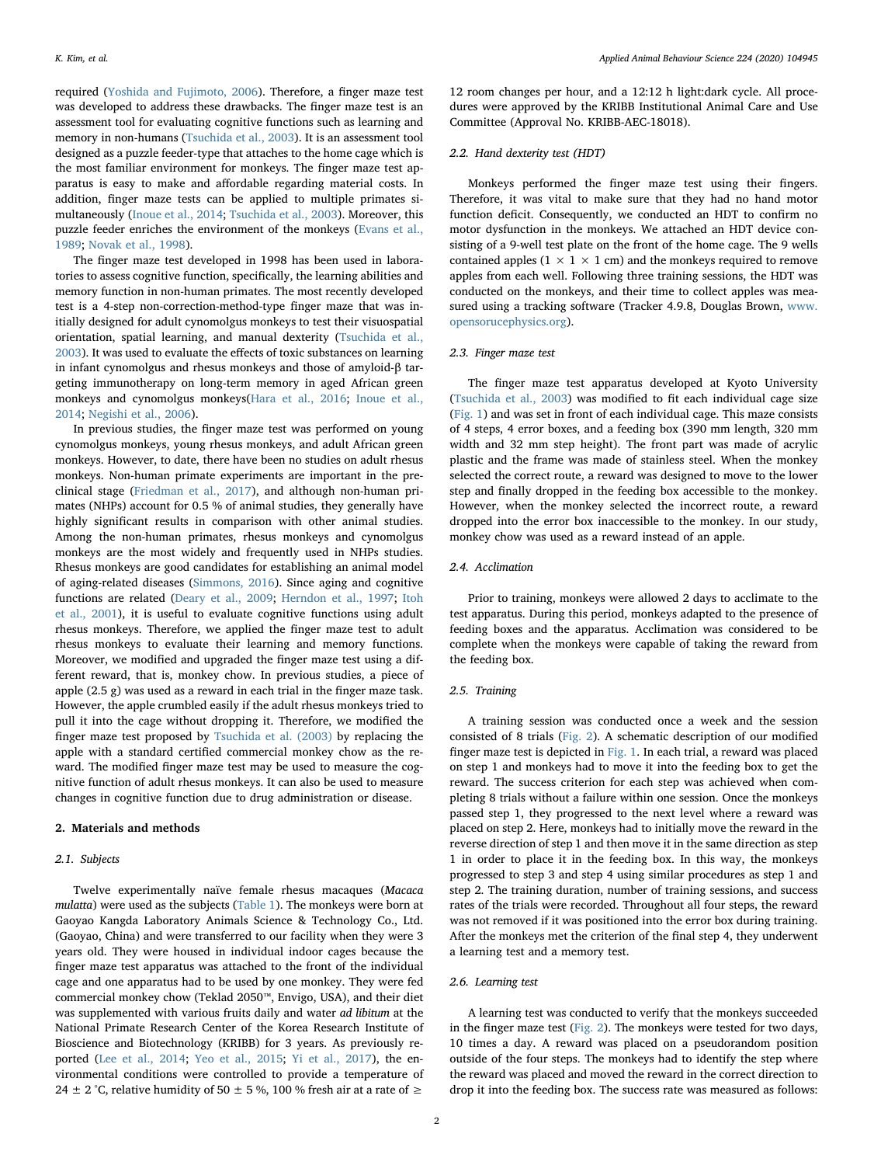required ([Yoshida and Fujimoto, 2006\)](#page-4-10). Therefore, a finger maze test was developed to address these drawbacks. The finger maze test is an assessment tool for evaluating cognitive functions such as learning and memory in non-humans ([Tsuchida et al., 2003\)](#page-4-11). It is an assessment tool designed as a puzzle feeder-type that attaches to the home cage which is the most familiar environment for monkeys. The finger maze test apparatus is easy to make and affordable regarding material costs. In addition, finger maze tests can be applied to multiple primates simultaneously [\(Inoue et al., 2014](#page-4-8); [Tsuchida et al., 2003](#page-4-11)). Moreover, this puzzle feeder enriches the environment of the monkeys [\(Evans et al.,](#page-4-12) [1989;](#page-4-12) [Novak et al., 1998](#page-4-13)).

The finger maze test developed in 1998 has been used in laboratories to assess cognitive function, specifically, the learning abilities and memory function in non-human primates. The most recently developed test is a 4-step non-correction-method-type finger maze that was initially designed for adult cynomolgus monkeys to test their visuospatial orientation, spatial learning, and manual dexterity [\(Tsuchida et al.,](#page-4-11) [2003\)](#page-4-11). It was used to evaluate the effects of toxic substances on learning in infant cynomolgus and rhesus monkeys and those of amyloid-β targeting immunotherapy on long-term memory in aged African green monkeys and cynomolgus monkeys([Hara et al., 2016](#page-4-14); [Inoue et al.,](#page-4-8) [2014;](#page-4-8) [Negishi et al., 2006](#page-4-15)).

In previous studies, the finger maze test was performed on young cynomolgus monkeys, young rhesus monkeys, and adult African green monkeys. However, to date, there have been no studies on adult rhesus monkeys. Non-human primate experiments are important in the preclinical stage ([Friedman et al., 2017](#page-4-16)), and although non-human primates (NHPs) account for 0.5 % of animal studies, they generally have highly significant results in comparison with other animal studies. Among the non-human primates, rhesus monkeys and cynomolgus monkeys are the most widely and frequently used in NHPs studies. Rhesus monkeys are good candidates for establishing an animal model of aging-related diseases ([Simmons, 2016](#page-4-17)). Since aging and cognitive functions are related [\(Deary et al., 2009](#page-4-0); [Herndon et al., 1997;](#page-4-18) [Itoh](#page-4-19) [et al., 2001](#page-4-19)), it is useful to evaluate cognitive functions using adult rhesus monkeys. Therefore, we applied the finger maze test to adult rhesus monkeys to evaluate their learning and memory functions. Moreover, we modified and upgraded the finger maze test using a different reward, that is, monkey chow. In previous studies, a piece of apple (2.5 g) was used as a reward in each trial in the finger maze task. However, the apple crumbled easily if the adult rhesus monkeys tried to pull it into the cage without dropping it. Therefore, we modified the finger maze test proposed by [Tsuchida et al. \(2003\)](#page-4-11) by replacing the apple with a standard certified commercial monkey chow as the reward. The modified finger maze test may be used to measure the cognitive function of adult rhesus monkeys. It can also be used to measure changes in cognitive function due to drug administration or disease.

## 2. Materials and methods

## 2.1. Subjects

Twelve experimentally naïve female rhesus macaques (Macaca mulatta) were used as the subjects ([Table 1\)](#page-2-0). The monkeys were born at Gaoyao Kangda Laboratory Animals Science & Technology Co., Ltd. (Gaoyao, China) and were transferred to our facility when they were 3 years old. They were housed in individual indoor cages because the finger maze test apparatus was attached to the front of the individual cage and one apparatus had to be used by one monkey. They were fed commercial monkey chow (Teklad 2050™, Envigo, USA), and their diet was supplemented with various fruits daily and water ad libitum at the National Primate Research Center of the Korea Research Institute of Bioscience and Biotechnology (KRIBB) for 3 years. As previously reported ([Lee et al., 2014;](#page-4-20) [Yeo et al., 2015;](#page-4-21) [Yi et al., 2017\)](#page-4-22), the environmental conditions were controlled to provide a temperature of 24 ± 2 °C, relative humidity of 50 ± 5 %, 100 % fresh air at a rate of  $\ge$ 

12 room changes per hour, and a 12:12 h light:dark cycle. All procedures were approved by the KRIBB Institutional Animal Care and Use Committee (Approval No. KRIBB-AEC-18018).

#### 2.2. Hand dexterity test (HDT)

Monkeys performed the finger maze test using their fingers. Therefore, it was vital to make sure that they had no hand motor function deficit. Consequently, we conducted an HDT to confirm no motor dysfunction in the monkeys. We attached an HDT device consisting of a 9-well test plate on the front of the home cage. The 9 wells contained apples ( $1 \times 1 \times 1$  cm) and the monkeys required to remove apples from each well. Following three training sessions, the HDT was conducted on the monkeys, and their time to collect apples was measured using a tracking software (Tracker 4.9.8, Douglas Brown, [www.](http://www.opensorucephysics.org) [opensorucephysics.org](http://www.opensorucephysics.org)).

## 2.3. Finger maze test

The finger maze test apparatus developed at Kyoto University ([Tsuchida et al., 2003\)](#page-4-11) was modified to fit each individual cage size ([Fig. 1](#page-2-1)) and was set in front of each individual cage. This maze consists of 4 steps, 4 error boxes, and a feeding box (390 mm length, 320 mm width and 32 mm step height). The front part was made of acrylic plastic and the frame was made of stainless steel. When the monkey selected the correct route, a reward was designed to move to the lower step and finally dropped in the feeding box accessible to the monkey. However, when the monkey selected the incorrect route, a reward dropped into the error box inaccessible to the monkey. In our study, monkey chow was used as a reward instead of an apple.

## 2.4. Acclimation

Prior to training, monkeys were allowed 2 days to acclimate to the test apparatus. During this period, monkeys adapted to the presence of feeding boxes and the apparatus. Acclimation was considered to be complete when the monkeys were capable of taking the reward from the feeding box.

#### 2.5. Training

A training session was conducted once a week and the session consisted of 8 trials [\(Fig. 2](#page-2-2)). A schematic description of our modified finger maze test is depicted in [Fig. 1](#page-2-1). In each trial, a reward was placed on step 1 and monkeys had to move it into the feeding box to get the reward. The success criterion for each step was achieved when completing 8 trials without a failure within one session. Once the monkeys passed step 1, they progressed to the next level where a reward was placed on step 2. Here, monkeys had to initially move the reward in the reverse direction of step 1 and then move it in the same direction as step 1 in order to place it in the feeding box. In this way, the monkeys progressed to step 3 and step 4 using similar procedures as step 1 and step 2. The training duration, number of training sessions, and success rates of the trials were recorded. Throughout all four steps, the reward was not removed if it was positioned into the error box during training. After the monkeys met the criterion of the final step 4, they underwent a learning test and a memory test.

## 2.6. Learning test

A learning test was conducted to verify that the monkeys succeeded in the finger maze test [\(Fig. 2](#page-2-2)). The monkeys were tested for two days, 10 times a day. A reward was placed on a pseudorandom position outside of the four steps. The monkeys had to identify the step where the reward was placed and moved the reward in the correct direction to drop it into the feeding box. The success rate was measured as follows: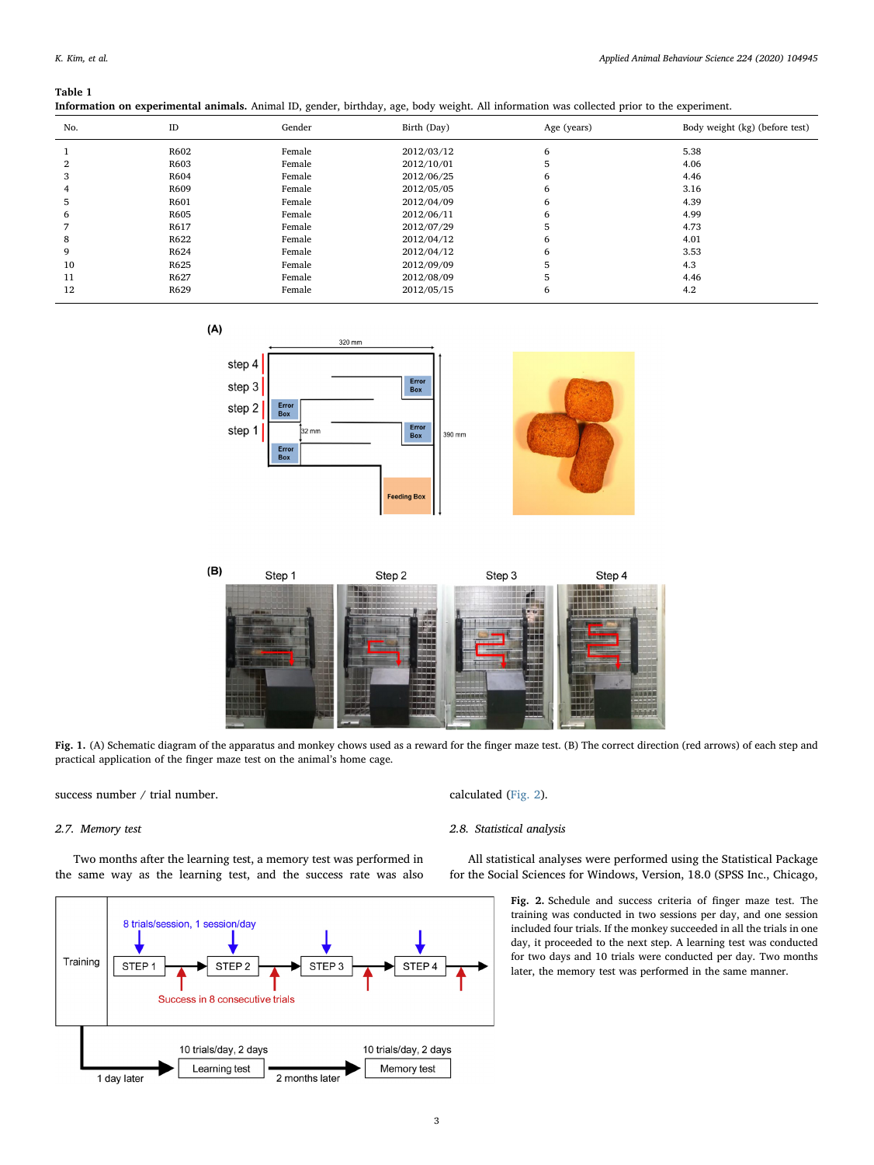#### <span id="page-2-0"></span>Table 1

Information on experimental animals. Animal ID, gender, birthday, age, body weight. All information was collected prior to the experiment.

| No. | ID   | Gender | Birth (Day) | Age (years) | Body weight (kg) (before test) |
|-----|------|--------|-------------|-------------|--------------------------------|
|     | R602 | Female | 2012/03/12  | 6           | 5.38                           |
| 2   | R603 | Female | 2012/10/01  | 5           | 4.06                           |
| 3   | R604 | Female | 2012/06/25  | 6           | 4.46                           |
| 4   | R609 | Female | 2012/05/05  | 6           | 3.16                           |
| 5   | R601 | Female | 2012/04/09  | 6           | 4.39                           |
| 6   | R605 | Female | 2012/06/11  | 6           | 4.99                           |
|     | R617 | Female | 2012/07/29  | 5           | 4.73                           |
| 8   | R622 | Female | 2012/04/12  | 6           | 4.01                           |
| 9   | R624 | Female | 2012/04/12  | 6           | 3.53                           |
| 10  | R625 | Female | 2012/09/09  |             | 4.3                            |
| 11  | R627 | Female | 2012/08/09  |             | 4.46                           |
| 12  | R629 | Female | 2012/05/15  | 6           | 4.2                            |

<span id="page-2-1"></span>



Fig. 1. (A) Schematic diagram of the apparatus and monkey chows used as a reward for the finger maze test. (B) The correct direction (red arrows) of each step and practical application of the finger maze test on the animal's home cage.

success number / trial number.

#### 2.7. Memory test

Two months after the learning test, a memory test was performed in the same way as the learning test, and the success rate was also

<span id="page-2-2"></span>

calculated [\(Fig. 2](#page-2-2)).

#### 2.8. Statistical analysis

All statistical analyses were performed using the Statistical Package for the Social Sciences for Windows, Version, 18.0 (SPSS Inc., Chicago,

> Fig. 2. Schedule and success criteria of finger maze test. The training was conducted in two sessions per day, and one session included four trials. If the monkey succeeded in all the trials in one day, it proceeded to the next step. A learning test was conducted for two days and 10 trials were conducted per day. Two months later, the memory test was performed in the same manner.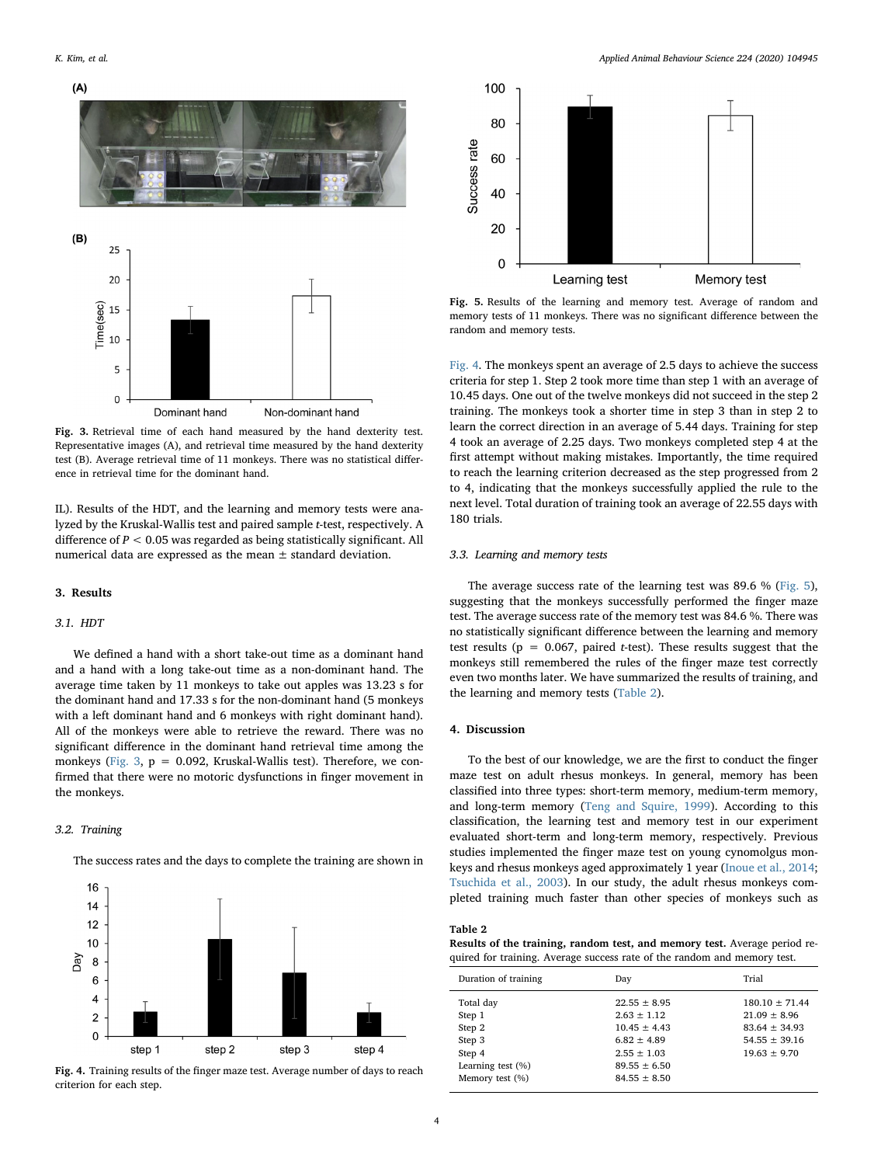<span id="page-3-0"></span>

Fig. 3. Retrieval time of each hand measured by the hand dexterity test. Representative images (A), and retrieval time measured by the hand dexterity test (B). Average retrieval time of 11 monkeys. There was no statistical difference in retrieval time for the dominant hand.

IL). Results of the HDT, and the learning and memory tests were analyzed by the Kruskal-Wallis test and paired sample t-test, respectively. A difference of  $P < 0.05$  was regarded as being statistically significant. All numerical data are expressed as the mean ± standard deviation.

## 3. Results

#### 3.1. HDT

We defined a hand with a short take-out time as a dominant hand and a hand with a long take-out time as a non-dominant hand. The average time taken by 11 monkeys to take out apples was 13.23 s for the dominant hand and 17.33 s for the non-dominant hand (5 monkeys with a left dominant hand and 6 monkeys with right dominant hand). All of the monkeys were able to retrieve the reward. There was no significant difference in the dominant hand retrieval time among the monkeys ([Fig. 3,](#page-3-0)  $p = 0.092$ , Kruskal-Wallis test). Therefore, we confirmed that there were no motoric dysfunctions in finger movement in the monkeys.

#### 3.2. Training

The success rates and the days to complete the training are shown in

<span id="page-3-1"></span>

Fig. 4. Training results of the finger maze test. Average number of days to reach criterion for each step.

<span id="page-3-2"></span>

Fig. 5. Results of the learning and memory test. Average of random and memory tests of 11 monkeys. There was no significant difference between the random and memory tests.

[Fig. 4](#page-3-1). The monkeys spent an average of 2.5 days to achieve the success criteria for step 1. Step 2 took more time than step 1 with an average of 10.45 days. One out of the twelve monkeys did not succeed in the step 2 training. The monkeys took a shorter time in step 3 than in step 2 to learn the correct direction in an average of 5.44 days. Training for step 4 took an average of 2.25 days. Two monkeys completed step 4 at the first attempt without making mistakes. Importantly, the time required to reach the learning criterion decreased as the step progressed from 2 to 4, indicating that the monkeys successfully applied the rule to the next level. Total duration of training took an average of 22.55 days with 180 trials.

## 3.3. Learning and memory tests

The average success rate of the learning test was 89.6 % ([Fig. 5](#page-3-2)), suggesting that the monkeys successfully performed the finger maze test. The average success rate of the memory test was 84.6 %. There was no statistically significant difference between the learning and memory test results ( $p = 0.067$ , paired *t*-test). These results suggest that the monkeys still remembered the rules of the finger maze test correctly even two months later. We have summarized the results of training, and the learning and memory tests [\(Table 2\)](#page-3-3).

#### 4. Discussion

To the best of our knowledge, we are the first to conduct the finger maze test on adult rhesus monkeys. In general, memory has been classified into three types: short-term memory, medium-term memory, and long-term memory ([Teng and Squire, 1999](#page-4-23)). According to this classification, the learning test and memory test in our experiment evaluated short-term and long-term memory, respectively. Previous studies implemented the finger maze test on young cynomolgus monkeys and rhesus monkeys aged approximately 1 year [\(Inoue et al., 2014](#page-4-8); [Tsuchida et al., 2003](#page-4-11)). In our study, the adult rhesus monkeys completed training much faster than other species of monkeys such as

#### <span id="page-3-3"></span>Table 2

Results of the training, random test, and memory test. Average period required for training. Average success rate of the random and memory test.

| Duration of training | Day              | Trial            |
|----------------------|------------------|------------------|
| Total day            | $22.55 + 8.95$   | $180.10 + 71.44$ |
| Step 1               | $2.63 + 1.12$    | $21.09 + 8.96$   |
| Step 2               | $10.45 + 4.43$   | $83.64 + 34.93$  |
| Step 3               | $6.82 + 4.89$    | $54.55 + 39.16$  |
| Step 4               | $2.55 \pm 1.03$  | $19.63 + 9.70$   |
| Learning test $(\%)$ | $89.55 + 6.50$   |                  |
| Memory test $(\%)$   | $84.55 \pm 8.50$ |                  |